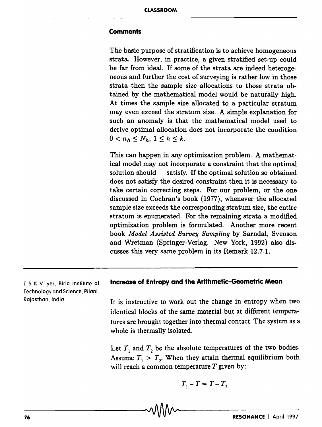## **Comments**

The basic purpose of stratification is to achieve homogeneous strata. However, in practice, a given stratified set-up could be far from ideal. If some of the strata are indeed heterogeneous and further the cost of surveying is rather low in those strata then the sample size allocations to those strata obtained by the mathematical model would be naturally high. At times the sample size allocated to a particular stratum may even exceed the stratum size. A simple explanation for such an anomaly is that the mathematical model used to derive optimal allocation does not incorporate the condition  $0 < n_h \leq N_h, 1 \leq h \leq k.$ 

This can happen in any optimization problem. A mathematical model may not incorporate a constraint that the optimal solution should satisfy. If the optimal solution so obtained does not satisfy the desired constraint then it is necessary to take certain correcting steps. For our problem, or the one discussed in Cochran's book (1977), whenever the allocated sample size exceeds the corresponding stratum size, the entire stratum is enumerated. For the remaining strata a modified optimization problem is formulated. Another more recent book *Model Assisted Survey Sampling* by Sarndal, Svenson and Wretman (Springer-Verlag. New York, 1992) also discusses this very same problem in its Remark 12.7.1.

T S K V Iyer, Birla Institute of Technology and Science, Pilani, Rajasthan, India

## **Increase of Entropy and the Arithmetic-Geometric Mean**

It is instructive to work out the change in entropy when two identical blocks of the same material but at different temperatures are brought together into thermal contact. The system as a whole is thermally isolated.

Let  $T_1$  and  $T_2$  be the absolute temperatures of the two bodies. Assume  $T_1 > T_2$ . When they attain thermal equilibrium both will reach a common temperature  $T$  given by:

$$
T_1 - T = T - T_2
$$